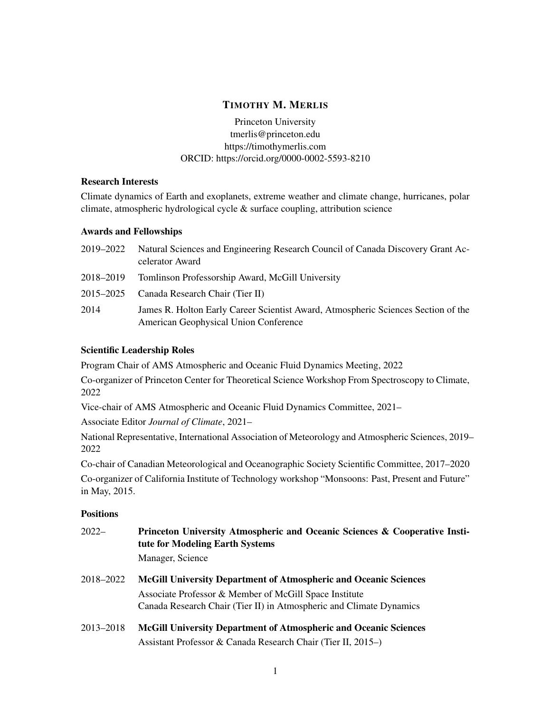# TIMOTHY M. MERLIS

Princeton University tmerlis@princeton.edu <https://timothymerlis.com> ORCID: <https://orcid.org/0000-0002-5593-8210>

# Research Interests

Climate dynamics of Earth and exoplanets, extreme weather and climate change, hurricanes, polar climate, atmospheric hydrological cycle & surface coupling, attribution science

## Awards and Fellowships

| 2019–2022 | Natural Sciences and Engineering Research Council of Canada Discovery Grant Ac-<br>celerator Award                         |
|-----------|----------------------------------------------------------------------------------------------------------------------------|
| 2018–2019 | Tomlinson Professorship Award, McGill University                                                                           |
| 2015–2025 | Canada Research Chair (Tier II)                                                                                            |
| 2014      | James R. Holton Early Career Scientist Award, Atmospheric Sciences Section of the<br>American Geophysical Union Conference |

# Scientific Leadership Roles

Program Chair of AMS Atmospheric and Oceanic Fluid Dynamics Meeting, 2022

Co-organizer of Princeton Center for Theoretical Science Workshop From Spectroscopy to Climate, 2022

Vice-chair of AMS Atmospheric and Oceanic Fluid Dynamics Committee, 2021–

Associate Editor *Journal of Climate*, 2021–

National Representative, International Association of Meteorology and Atmospheric Sciences, 2019– 2022

Co-chair of Canadian Meteorological and Oceanographic Society Scientific Committee, 2017–2020

Co-organizer of California Institute of Technology workshop "Monsoons: Past, Present and Future" in May, 2015.

# **Positions**

| $2022-$   | Princeton University Atmospheric and Oceanic Sciences & Cooperative Insti-<br>tute for Modeling Earth Systems |
|-----------|---------------------------------------------------------------------------------------------------------------|
|           | Manager, Science                                                                                              |
| 2018-2022 | <b>McGill University Department of Atmospheric and Oceanic Sciences</b>                                       |
|           | Associate Professor & Member of McGill Space Institute                                                        |
|           | Canada Research Chair (Tier II) in Atmospheric and Climate Dynamics                                           |
| 2013-2018 | <b>McGill University Department of Atmospheric and Oceanic Sciences</b>                                       |
|           | Assistant Professor & Canada Research Chair (Tier II, 2015–)                                                  |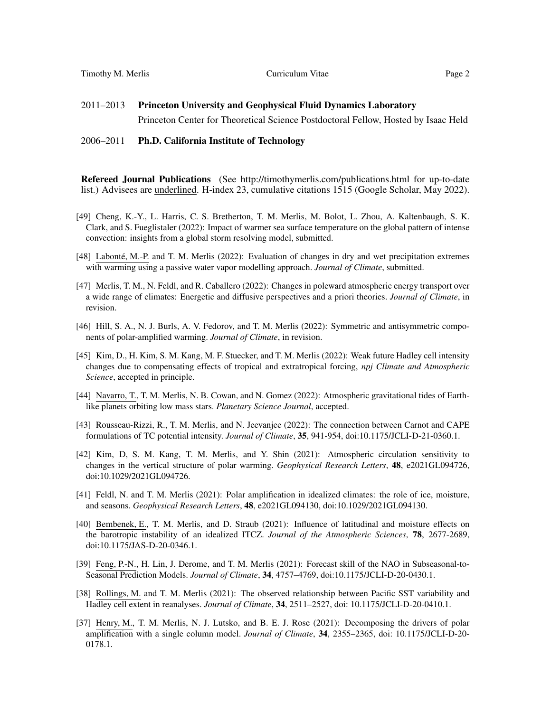#### 2006–2011 Ph.D. California Institute of Technology

Refereed Journal Publications (See <http://timothymerlis.com/publications.html> for up-to-date list.) Advisees are underlined. H-index 23, cumulative citations 1515 (Google Scholar, May 2022).

- [49] Cheng, K.-Y., L. Harris, C. S. Bretherton, T. M. Merlis, M. Bolot, L. Zhou, A. Kaltenbaugh, S. K. Clark, and S. Fueglistaler (2022): Impact of warmer sea surface temperature on the global pattern of intense convection: insights from a global storm resolving model, submitted.
- [48] Labonté, M.-P. and T. M. Merlis (2022): Evaluation of changes in dry and wet precipitation extremes with warming using a passive water vapor modelling approach. *Journal of Climate*, submitted.
- [47] Merlis, T. M., N. Feldl, and R. Caballero (2022): Changes in poleward atmospheric energy transport over a wide range of climates: Energetic and diffusive perspectives and a priori theories. *Journal of Climate*, in revision.
- [46] Hill, S. A., N. J. Burls, A. V. Fedorov, and T. M. Merlis (2022): Symmetric and antisymmetric components of polar-amplified warming. *Journal of Climate*, in revision.
- [45] Kim, D., H. Kim, S. M. Kang, M. F. Stuecker, and T. M. Merlis (2022): Weak future Hadley cell intensity changes due to compensating effects of tropical and extratropical forcing, *npj Climate and Atmospheric Science*, accepted in principle.
- [44] Navarro, T., T. M. Merlis, N. B. Cowan, and N. Gomez (2022): Atmospheric gravitational tides of Earthlike planets orbiting low mass stars. *Planetary Science Journal*, accepted.
- [43] Rousseau-Rizzi, R., T. M. Merlis, and N. Jeevanjee (2022): The connection between Carnot and CAPE formulations of TC potential intensity. *Journal of Climate*, 35, 941-954, doi:10.1175/JCLI-D-21-0360.1.
- [42] Kim, D, S. M. Kang, T. M. Merlis, and Y. Shin (2021): Atmospheric circulation sensitivity to changes in the vertical structure of polar warming. *Geophysical Research Letters*, 48, e2021GL094726, doi:10.1029/2021GL094726.
- [41] Feldl, N. and T. M. Merlis (2021): Polar amplification in idealized climates: the role of ice, moisture, and seasons. *Geophysical Research Letters*, 48, e2021GL094130, doi:10.1029/2021GL094130.
- [40] Bembenek, E., T. M. Merlis, and D. Straub (2021): Influence of latitudinal and moisture effects on the barotropic instability of an idealized ITCZ. *Journal of the Atmospheric Sciences*, 78, 2677-2689, doi:10.1175/JAS-D-20-0346.1.
- [39] Feng, P.-N., H. Lin, J. Derome, and T. M. Merlis (2021): Forecast skill of the NAO in Subseasonal-to-Seasonal Prediction Models. *Journal of Climate*, 34, 4757–4769, doi:10.1175/JCLI-D-20-0430.1.
- [38] Rollings, M. and T. M. Merlis (2021): The observed relationship between Pacific SST variability and Hadley cell extent in reanalyses. *Journal of Climate*, 34, 2511–2527, doi: 10.1175/JCLI-D-20-0410.1.
- [37] Henry, M., T. M. Merlis, N. J. Lutsko, and B. E. J. Rose (2021): Decomposing the drivers of polar amplification with a single column model. *Journal of Climate*, 34, 2355–2365, doi: 10.1175/JCLI-D-20- 0178.1.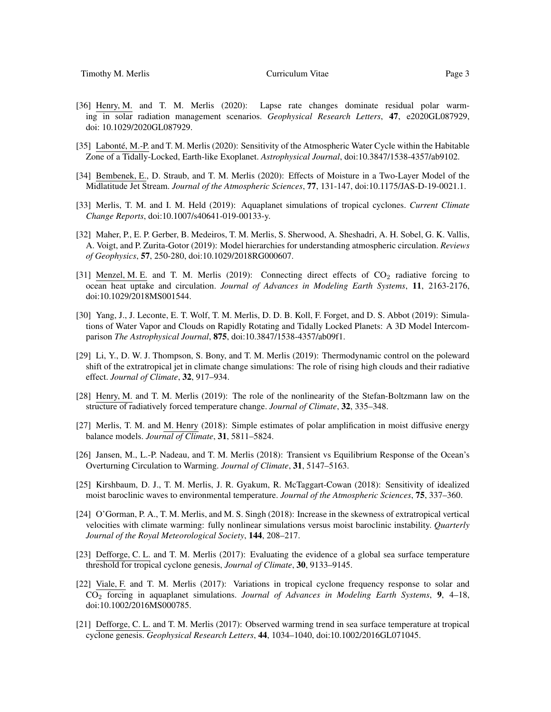- [36] Henry, M. and T. M. Merlis (2020): Lapse rate changes dominate residual polar warming in solar radiation management scenarios. *Geophysical Research Letters*, 47, e2020GL087929, doi: 10.1029/2020GL087929.
- [35] Labonté, M.-P. and T. M. Merlis (2020): Sensitivity of the Atmospheric Water Cycle within the Habitable Zone of a Tidally-Locked, Earth-like Exoplanet. *Astrophysical Journal*, doi:10.3847/1538-4357/ab9102.
- [34] Bembenek, E., D. Straub, and T. M. Merlis (2020): Effects of Moisture in a Two-Layer Model of the Midlatitude Jet Stream. *Journal of the Atmospheric Sciences*, 77, 131-147, doi:10.1175/JAS-D-19-0021.1.
- [33] Merlis, T. M. and I. M. Held (2019): Aquaplanet simulations of tropical cyclones. *Current Climate Change Reports*, doi:10.1007/s40641-019-00133-y.
- [32] Maher, P., E. P. Gerber, B. Medeiros, T. M. Merlis, S. Sherwood, A. Sheshadri, A. H. Sobel, G. K. Vallis, A. Voigt, and P. Zurita-Gotor (2019): Model hierarchies for understanding atmospheric circulation. *Reviews of Geophysics*, 57, 250-280, doi:10.1029/2018RG000607.
- [31] Menzel, M. E. and T. M. Merlis (2019): Connecting direct effects of  $CO<sub>2</sub>$  radiative forcing to ocean heat uptake and circulation. *Journal of Advances in Modeling Earth Systems*, 11, 2163-2176, doi:10.1029/2018MS001544.
- [30] Yang, J., J. Leconte, E. T. Wolf, T. M. Merlis, D. D. B. Koll, F. Forget, and D. S. Abbot (2019): Simulations of Water Vapor and Clouds on Rapidly Rotating and Tidally Locked Planets: A 3D Model Intercomparison *The Astrophysical Journal*, 875, doi:10.3847/1538-4357/ab09f1.
- [29] Li, Y., D. W. J. Thompson, S. Bony, and T. M. Merlis (2019): Thermodynamic control on the poleward shift of the extratropical jet in climate change simulations: The role of rising high clouds and their radiative effect. *Journal of Climate*, 32, 917–934.
- [28] Henry, M. and T. M. Merlis (2019): The role of the nonlinearity of the Stefan-Boltzmann law on the structure of radiatively forced temperature change. *Journal of Climate*, 32, 335–348.
- [27] Merlis, T. M. and M. Henry (2018): Simple estimates of polar amplification in moist diffusive energy balance models. *Journal of Climate*, 31, 5811–5824.
- [26] Jansen, M., L.-P. Nadeau, and T. M. Merlis (2018): Transient vs Equilibrium Response of the Ocean's Overturning Circulation to Warming. *Journal of Climate*, 31, 5147–5163.
- [25] Kirshbaum, D. J., T. M. Merlis, J. R. Gyakum, R. McTaggart-Cowan (2018): Sensitivity of idealized moist baroclinic waves to environmental temperature. *Journal of the Atmospheric Sciences*, 75, 337–360.
- [24] O'Gorman, P. A., T. M. Merlis, and M. S. Singh (2018): Increase in the skewness of extratropical vertical velocities with climate warming: fully nonlinear simulations versus moist baroclinic instability. *Quarterly Journal of the Royal Meteorological Society*, 144, 208–217.
- [23] Defforge, C. L. and T. M. Merlis (2017): Evaluating the evidence of a global sea surface temperature threshold for tropical cyclone genesis, *Journal of Climate*, 30, 9133–9145.
- [22] Viale, F. and T. M. Merlis (2017): Variations in tropical cyclone frequency response to solar and CO<sup>2</sup> forcing in aquaplanet simulations. *Journal of Advances in Modeling Earth Systems*, 9, 4–18, doi:10.1002/2016MS000785.
- [21] Defforge, C. L. and T. M. Merlis (2017): Observed warming trend in sea surface temperature at tropical cyclone genesis. *Geophysical Research Letters*, 44, 1034–1040, doi:10.1002/2016GL071045.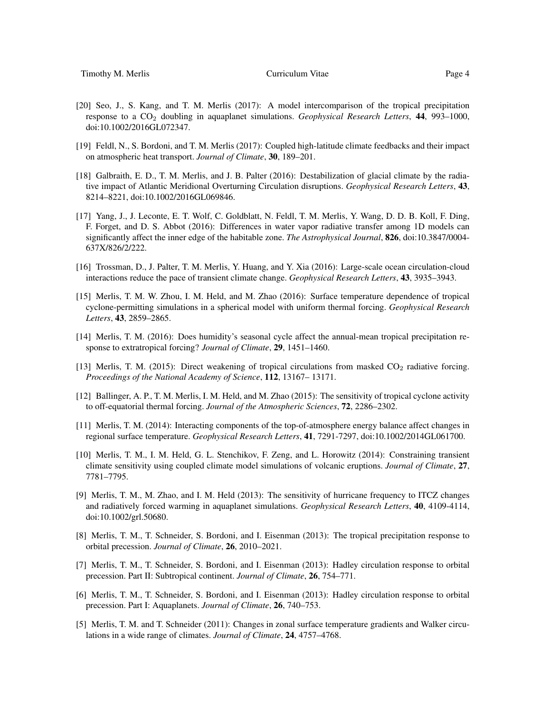- [20] Seo, J., S. Kang, and T. M. Merlis (2017): A model intercomparison of the tropical precipitation response to a CO<sup>2</sup> doubling in aquaplanet simulations. *Geophysical Research Letters*, 44, 993–1000, doi:10.1002/2016GL072347.
- [19] Feldl, N., S. Bordoni, and T. M. Merlis (2017): Coupled high-latitude climate feedbacks and their impact on atmospheric heat transport. *Journal of Climate*, 30, 189–201.
- [18] Galbraith, E. D., T. M. Merlis, and J. B. Palter (2016): Destabilization of glacial climate by the radiative impact of Atlantic Meridional Overturning Circulation disruptions. *Geophysical Research Letters*, 43, 8214–8221, doi:10.1002/2016GL069846.
- [17] Yang, J., J. Leconte, E. T. Wolf, C. Goldblatt, N. Feldl, T. M. Merlis, Y. Wang, D. D. B. Koll, F. Ding, F. Forget, and D. S. Abbot (2016): Differences in water vapor radiative transfer among 1D models can significantly affect the inner edge of the habitable zone. *The Astrophysical Journal*, 826, doi:10.3847/0004- 637X/826/2/222.
- [16] Trossman, D., J. Palter, T. M. Merlis, Y. Huang, and Y. Xia (2016): Large-scale ocean circulation-cloud interactions reduce the pace of transient climate change. *Geophysical Research Letters*, 43, 3935–3943.
- [15] Merlis, T. M. W. Zhou, I. M. Held, and M. Zhao (2016): Surface temperature dependence of tropical cyclone-permitting simulations in a spherical model with uniform thermal forcing. *Geophysical Research Letters*, 43, 2859–2865.
- [14] Merlis, T. M. (2016): Does humidity's seasonal cycle affect the annual-mean tropical precipitation response to extratropical forcing? *Journal of Climate*, 29, 1451–1460.
- [13] Merlis, T. M. (2015): Direct weakening of tropical circulations from masked CO<sub>2</sub> radiative forcing. *Proceedings of the National Academy of Science*, 112, 13167– 13171.
- [12] Ballinger, A. P., T. M. Merlis, I. M. Held, and M. Zhao (2015): The sensitivity of tropical cyclone activity to off-equatorial thermal forcing. *Journal of the Atmospheric Sciences*, 72, 2286–2302.
- [11] Merlis, T. M. (2014): Interacting components of the top-of-atmosphere energy balance affect changes in regional surface temperature. *Geophysical Research Letters*, 41, 7291-7297, doi:10.1002/2014GL061700.
- [10] Merlis, T. M., I. M. Held, G. L. Stenchikov, F. Zeng, and L. Horowitz (2014): Constraining transient climate sensitivity using coupled climate model simulations of volcanic eruptions. *Journal of Climate*, 27, 7781–7795.
- [9] Merlis, T. M., M. Zhao, and I. M. Held (2013): The sensitivity of hurricane frequency to ITCZ changes and radiatively forced warming in aquaplanet simulations. *Geophysical Research Letters*, 40, 4109-4114, doi:10.1002/grl.50680.
- [8] Merlis, T. M., T. Schneider, S. Bordoni, and I. Eisenman (2013): The tropical precipitation response to orbital precession. *Journal of Climate*, 26, 2010–2021.
- [7] Merlis, T. M., T. Schneider, S. Bordoni, and I. Eisenman (2013): Hadley circulation response to orbital precession. Part II: Subtropical continent. *Journal of Climate*, 26, 754–771.
- [6] Merlis, T. M., T. Schneider, S. Bordoni, and I. Eisenman (2013): Hadley circulation response to orbital precession. Part I: Aquaplanets. *Journal of Climate*, 26, 740–753.
- [5] Merlis, T. M. and T. Schneider (2011): Changes in zonal surface temperature gradients and Walker circulations in a wide range of climates. *Journal of Climate*, 24, 4757–4768.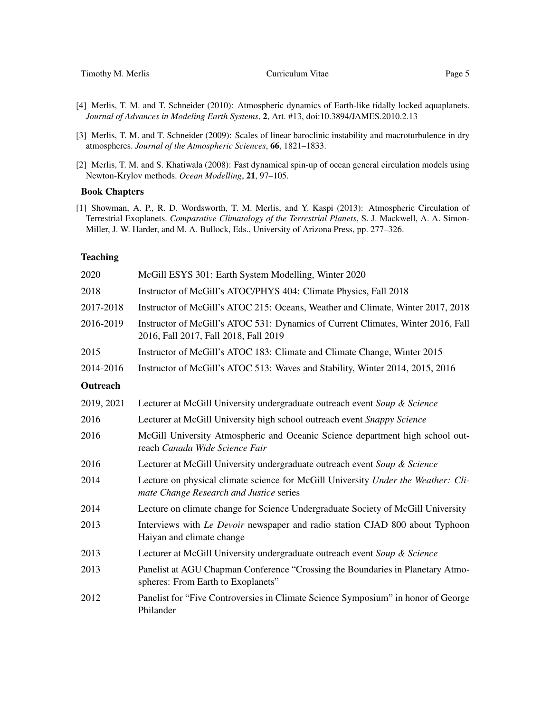Timothy M. Merlis **Curriculum Vitae** Page 5

- [4] Merlis, T. M. and T. Schneider (2010): Atmospheric dynamics of Earth-like tidally locked aquaplanets. *Journal of Advances in Modeling Earth Systems*, 2, Art. #13, doi:10.3894/JAMES.2010.2.13
- [3] Merlis, T. M. and T. Schneider (2009): Scales of linear baroclinic instability and macroturbulence in dry atmospheres. *Journal of the Atmospheric Sciences*, 66, 1821–1833.
- [2] Merlis, T. M. and S. Khatiwala (2008): Fast dynamical spin-up of ocean general circulation models using Newton-Krylov methods. *Ocean Modelling*, 21, 97–105.

#### Book Chapters

[1] Showman, A. P., R. D. Wordsworth, T. M. Merlis, and Y. Kaspi (2013): Atmospheric Circulation of Terrestrial Exoplanets. *Comparative Climatology of the Terrestrial Planets*, S. J. Mackwell, A. A. Simon-Miller, J. W. Harder, and M. A. Bullock, Eds., University of Arizona Press, pp. 277–326.

## **Teaching**

| 2020       | McGill ESYS 301: Earth System Modelling, Winter 2020                                                                         |
|------------|------------------------------------------------------------------------------------------------------------------------------|
| 2018       | Instructor of McGill's ATOC/PHYS 404: Climate Physics, Fall 2018                                                             |
| 2017-2018  | Instructor of McGill's ATOC 215: Oceans, Weather and Climate, Winter 2017, 2018                                              |
| 2016-2019  | Instructor of McGill's ATOC 531: Dynamics of Current Climates, Winter 2016, Fall<br>2016, Fall 2017, Fall 2018, Fall 2019    |
| 2015       | Instructor of McGill's ATOC 183: Climate and Climate Change, Winter 2015                                                     |
| 2014-2016  | Instructor of McGill's ATOC 513: Waves and Stability, Winter 2014, 2015, 2016                                                |
| Outreach   |                                                                                                                              |
| 2019, 2021 | Lecturer at McGill University undergraduate outreach event Soup & Science                                                    |
| 2016       | Lecturer at McGill University high school outreach event Snappy Science                                                      |
| 2016       | McGill University Atmospheric and Oceanic Science department high school out-<br>reach Canada Wide Science Fair              |
| 2016       | Lecturer at McGill University undergraduate outreach event Soup & Science                                                    |
| 2014       | Lecture on physical climate science for McGill University Under the Weather: Cli-<br>mate Change Research and Justice series |
| 2014       | Lecture on climate change for Science Undergraduate Society of McGill University                                             |
| 2013       | Interviews with Le Devoir newspaper and radio station CJAD 800 about Typhoon<br>Haiyan and climate change                    |
| 2013       | Lecturer at McGill University undergraduate outreach event Soup & Science                                                    |
| 2013       | Panelist at AGU Chapman Conference "Crossing the Boundaries in Planetary Atmo-<br>spheres: From Earth to Exoplanets"         |
| 2012       | Panelist for "Five Controversies in Climate Science Symposium" in honor of George<br>Philander                               |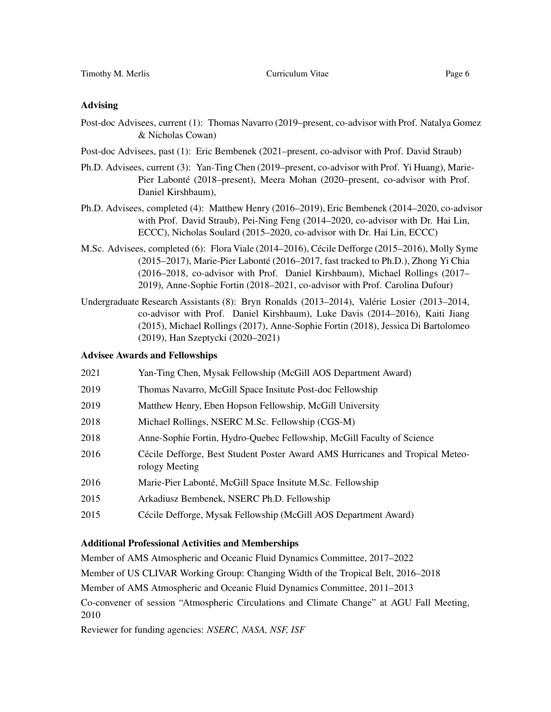## Advising

- Post-doc Advisees, current (1): Thomas Navarro (2019–present, co-advisor with Prof. Natalya Gomez & Nicholas Cowan)
- Post-doc Advisees, past (1): Eric Bembenek (2021–present, co-advisor with Prof. David Straub)
- Ph.D. Advisees, current (3): Yan-Ting Chen (2019–present, co-advisor with Prof. Yi Huang), Marie-Pier Labonté (2018–present), Meera Mohan (2020–present, co-advisor with Prof. Daniel Kirshbaum),
- Ph.D. Advisees, completed (4): Matthew Henry (2016–2019), Eric Bembenek (2014–2020, co-advisor with Prof. David Straub), Pei-Ning Feng (2014–2020, co-advisor with Dr. Hai Lin, ECCC), Nicholas Soulard (2015–2020, co-advisor with Dr. Hai Lin, ECCC)
- M.Sc. Advisees, completed (6): Flora Viale (2014–2016), Cécile Defforge (2015–2016), Molly Syme (2015–2017), Marie-Pier Labonté (2016–2017, fast tracked to Ph.D.), Zhong Yi Chia (2016–2018, co-advisor with Prof. Daniel Kirshbaum), Michael Rollings (2017– 2019), Anne-Sophie Fortin (2018–2021, co-advisor with Prof. Carolina Dufour)
- Undergraduate Research Assistants (8): Bryn Ronalds (2013–2014), Valérie Losier (2013–2014, co-advisor with Prof. Daniel Kirshbaum), Luke Davis (2014–2016), Kaiti Jiang (2015), Michael Rollings (2017), Anne-Sophie Fortin (2018), Jessica Di Bartolomeo (2019), Han Szeptycki (2020–2021)

## Advisee Awards and Fellowships

| 2021 | Yan-Ting Chen, Mysak Fellowship (McGill AOS Department Award)                                   |
|------|-------------------------------------------------------------------------------------------------|
| 2019 | Thomas Navarro, McGill Space Insitute Post-doc Fellowship                                       |
| 2019 | Matthew Henry, Eben Hopson Fellowship, McGill University                                        |
| 2018 | Michael Rollings, NSERC M.Sc. Fellowship (CGS-M)                                                |
| 2018 | Anne-Sophie Fortin, Hydro-Quebec Fellowship, McGill Faculty of Science                          |
| 2016 | Cécile Defforge, Best Student Poster Award AMS Hurricanes and Tropical Meteo-<br>rology Meeting |
| 2016 | Marie-Pier Labonté, McGill Space Insitute M.Sc. Fellowship                                      |
| 2015 | Arkadiusz Bembenek, NSERC Ph.D. Fellowship                                                      |
| 2015 | Cécile Defforge, Mysak Fellowship (McGill AOS Department Award)                                 |
|      |                                                                                                 |

### Additional Professional Activities and Memberships

Member of AMS Atmospheric and Oceanic Fluid Dynamics Committee, 2017–2022

Member of US CLIVAR Working Group: Changing Width of the Tropical Belt, 2016–2018

Member of AMS Atmospheric and Oceanic Fluid Dynamics Committee, 2011–2013

Co-convener of session "Atmospheric Circulations and Climate Change" at AGU Fall Meeting, 2010

Reviewer for funding agencies: *NSERC, NASA, NSF, ISF*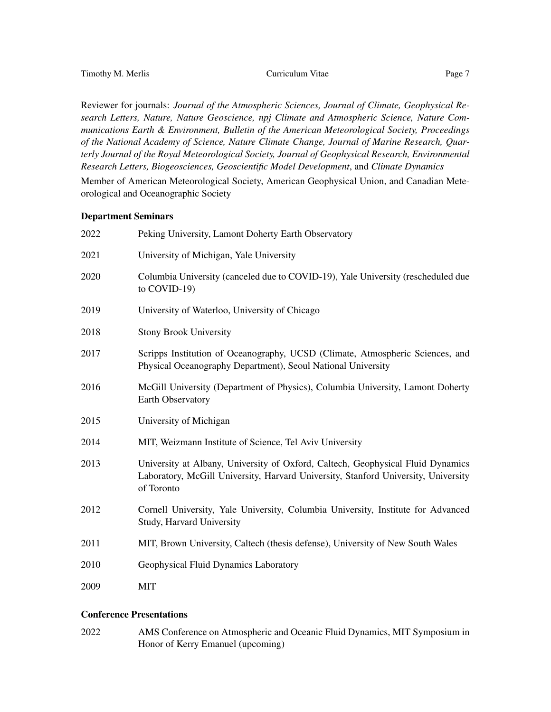Reviewer for journals: *Journal of the Atmospheric Sciences, Journal of Climate, Geophysical Research Letters, Nature, Nature Geoscience, npj Climate and Atmospheric Science, Nature Communications Earth & Environment, Bulletin of the American Meteorological Society, Proceedings of the National Academy of Science, Nature Climate Change, Journal of Marine Research, Quarterly Journal of the Royal Meteorological Society, Journal of Geophysical Research, Environmental Research Letters, Biogeosciences, Geoscientific Model Development*, and *Climate Dynamics*

Member of American Meteorological Society, American Geophysical Union, and Canadian Meteorological and Oceanographic Society

#### Department Seminars

| 2022 | Peking University, Lamont Doherty Earth Observatory                                                                                                                                 |
|------|-------------------------------------------------------------------------------------------------------------------------------------------------------------------------------------|
| 2021 | University of Michigan, Yale University                                                                                                                                             |
| 2020 | Columbia University (canceled due to COVID-19), Yale University (rescheduled due<br>to COVID-19)                                                                                    |
| 2019 | University of Waterloo, University of Chicago                                                                                                                                       |
| 2018 | <b>Stony Brook University</b>                                                                                                                                                       |
| 2017 | Scripps Institution of Oceanography, UCSD (Climate, Atmospheric Sciences, and<br>Physical Oceanography Department), Seoul National University                                       |
| 2016 | McGill University (Department of Physics), Columbia University, Lamont Doherty<br>Earth Observatory                                                                                 |
| 2015 | University of Michigan                                                                                                                                                              |
| 2014 | MIT, Weizmann Institute of Science, Tel Aviv University                                                                                                                             |
| 2013 | University at Albany, University of Oxford, Caltech, Geophysical Fluid Dynamics<br>Laboratory, McGill University, Harvard University, Stanford University, University<br>of Toronto |
| 2012 | Cornell University, Yale University, Columbia University, Institute for Advanced<br><b>Study, Harvard University</b>                                                                |
| 2011 | MIT, Brown University, Caltech (thesis defense), University of New South Wales                                                                                                      |
| 2010 | Geophysical Fluid Dynamics Laboratory                                                                                                                                               |
| 2009 | <b>MIT</b>                                                                                                                                                                          |

# Conference Presentations

2022 AMS Conference on Atmospheric and Oceanic Fluid Dynamics, MIT Symposium in Honor of Kerry Emanuel (upcoming)